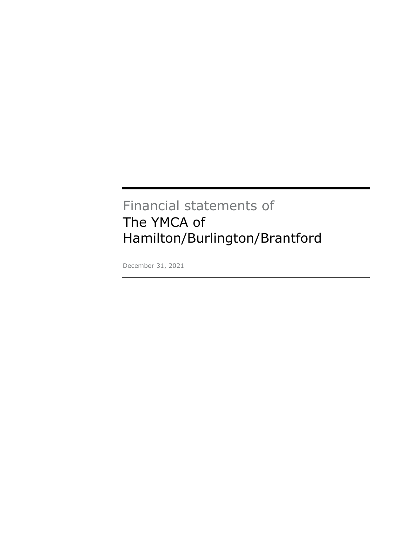# Financial statements of The YMCA of Hamilton/Burlington/Brantford

December 31, 2021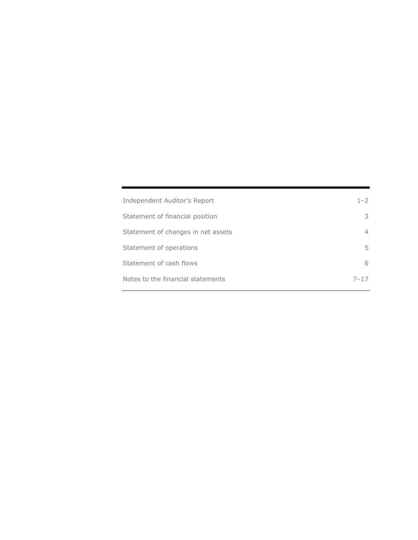| Independent Auditor's Report       | $1 - 2$  |
|------------------------------------|----------|
| Statement of financial position    | 3        |
| Statement of changes in net assets | 4        |
| Statement of operations            | 5.       |
| Statement of cash flows            | 6        |
| Notes to the financial statements  | $7 - 17$ |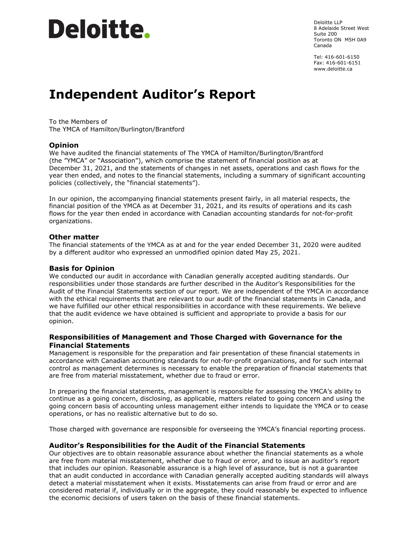# Deloitte.

Deloitte LLP 8 Adelaide Street West Suite 200 Toronto ON M5H 0A9 Canada

Tel: 416-601-6150 Fax: 416-601-6151 www.deloitte.ca

# **Independent Auditor's Report**

To the Members of The YMCA of Hamilton/Burlington/Brantford

# **Opinion**

We have audited the financial statements of The YMCA of Hamilton/Burlington/Brantford (the "YMCA" or "Association"), which comprise the statement of financial position as at December 31, 2021, and the statements of changes in net assets, operations and cash flows for the year then ended, and notes to the financial statements, including a summary of significant accounting policies (collectively, the "financial statements").

In our opinion, the accompanying financial statements present fairly, in all material respects, the financial position of the YMCA as at December 31, 2021, and its results of operations and its cash flows for the year then ended in accordance with Canadian accounting standards for not-for-profit organizations.

# **Other matter**

The financial statements of the YMCA as at and for the year ended December 31, 2020 were audited by a different auditor who expressed an unmodified opinion dated May 25, 2021.

# **Basis for Opinion**

We conducted our audit in accordance with Canadian generally accepted auditing standards. Our responsibilities under those standards are further described in the Auditor's Responsibilities for the Audit of the Financial Statements section of our report. We are independent of the YMCA in accordance with the ethical requirements that are relevant to our audit of the financial statements in Canada, and we have fulfilled our other ethical responsibilities in accordance with these requirements. We believe that the audit evidence we have obtained is sufficient and appropriate to provide a basis for our opinion.

# **Responsibilities of Management and Those Charged with Governance for the Financial Statements**

Management is responsible for the preparation and fair presentation of these financial statements in accordance with Canadian accounting standards for not-for-profit organizations, and for such internal control as management determines is necessary to enable the preparation of financial statements that are free from material misstatement, whether due to fraud or error.

In preparing the financial statements, management is responsible for assessing the YMCA's ability to continue as a going concern, disclosing, as applicable, matters related to going concern and using the going concern basis of accounting unless management either intends to liquidate the YMCA or to cease operations, or has no realistic alternative but to do so.

Those charged with governance are responsible for overseeing the YMCA's financial reporting process.

# **Auditor's Responsibilities for the Audit of the Financial Statements**

Our objectives are to obtain reasonable assurance about whether the financial statements as a whole are free from material misstatement, whether due to fraud or error, and to issue an auditor's report that includes our opinion. Reasonable assurance is a high level of assurance, but is not a guarantee that an audit conducted in accordance with Canadian generally accepted auditing standards will always detect a material misstatement when it exists. Misstatements can arise from fraud or error and are considered material if, individually or in the aggregate, they could reasonably be expected to influence the economic decisions of users taken on the basis of these financial statements.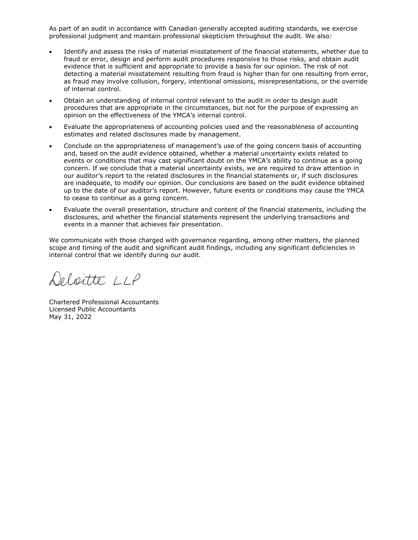As part of an audit in accordance with Canadian generally accepted auditing standards, we exercise professional judgment and maintain professional skepticism throughout the audit. We also:

- Identify and assess the risks of material misstatement of the financial statements, whether due to fraud or error, design and perform audit procedures responsive to those risks, and obtain audit evidence that is sufficient and appropriate to provide a basis for our opinion. The risk of not detecting a material misstatement resulting from fraud is higher than for one resulting from error, as fraud may involve collusion, forgery, intentional omissions, misrepresentations, or the override of internal control.
- Obtain an understanding of internal control relevant to the audit in order to design audit procedures that are appropriate in the circumstances, but not for the purpose of expressing an opinion on the effectiveness of the YMCA's internal control.
- Evaluate the appropriateness of accounting policies used and the reasonableness of accounting estimates and related disclosures made by management.
- Conclude on the appropriateness of management's use of the going concern basis of accounting and, based on the audit evidence obtained, whether a material uncertainty exists related to events or conditions that may cast significant doubt on the YMCA's ability to continue as a going concern. If we conclude that a material uncertainty exists, we are required to draw attention in our auditor's report to the related disclosures in the financial statements or, if such disclosures are inadequate, to modify our opinion. Our conclusions are based on the audit evidence obtained up to the date of our auditor's report. However, future events or conditions may cause the YMCA to cease to continue as a going concern.
- Evaluate the overall presentation, structure and content of the financial statements, including the disclosures, and whether the financial statements represent the underlying transactions and events in a manner that achieves fair presentation.

We communicate with those charged with governance regarding, among other matters, the planned scope and timing of the audit and significant audit findings, including any significant deficiencies in internal control that we identify during our audit.

Deloitte LLP

Chartered Professional Accountants Licensed Public Accountants May 31, 2022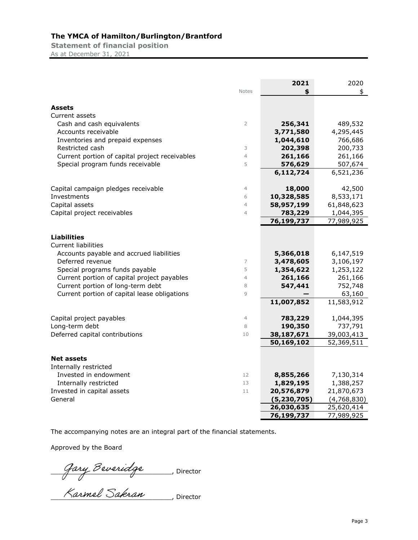**Statement of financial position** As at December 31, 2021

|                                                |                | 2021          | 2020        |
|------------------------------------------------|----------------|---------------|-------------|
|                                                | <b>Notes</b>   | \$            | \$          |
|                                                |                |               |             |
| Assets                                         |                |               |             |
| Current assets                                 |                |               |             |
| Cash and cash equivalents                      | $\overline{2}$ | 256,341       | 489,532     |
| Accounts receivable                            |                | 3,771,580     | 4,295,445   |
| Inventories and prepaid expenses               |                | 1,044,610     | 766,686     |
| Restricted cash                                | 3              | 202,398       | 200,733     |
| Current portion of capital project receivables | $\overline{4}$ | 261,166       | 261,166     |
| Special program funds receivable               | 5              | 576,629       | 507,674     |
|                                                |                | 6,112,724     | 6,521,236   |
| Capital campaign pledges receivable            | $\overline{4}$ | 18,000        | 42,500      |
| Investments                                    | 6              | 10,328,585    | 8,533,171   |
| Capital assets                                 | $\overline{4}$ | 58,957,199    | 61,848,623  |
| Capital project receivables                    | $\overline{4}$ | 783,229       | 1,044,395   |
|                                                |                | 76,199,737    | 77,989,925  |
|                                                |                |               |             |
| <b>Liabilities</b>                             |                |               |             |
| <b>Current liabilities</b>                     |                |               |             |
| Accounts payable and accrued liabilities       |                | 5,366,018     | 6,147,519   |
| Deferred revenue                               | 7              | 3,478,605     | 3,106,197   |
| Special programs funds payable                 | 5              | 1,354,622     | 1,253,122   |
| Current portion of capital project payables    | $\overline{4}$ | 261,166       | 261,166     |
| Current portion of long-term debt              | 8              | 547,441       | 752,748     |
| Current portion of capital lease obligations   | $\overline{9}$ |               | 63,160      |
|                                                |                | 11,007,852    | 11,583,912  |
| Capital project payables                       | $\overline{4}$ | 783,229       | 1,044,395   |
| Long-term debt                                 | 8              | 190,350       | 737,791     |
| Deferred capital contributions                 | 10             | 38,187,671    | 39,003,413  |
|                                                |                | 50,169,102    | 52,369,511  |
|                                                |                |               |             |
| Net assets                                     |                |               |             |
| Internally restricted                          |                |               |             |
| Invested in endowment                          | 12             | 8,855,266     | 7,130,314   |
| Internally restricted                          | 13             | 1,829,195     | 1,388,257   |
| Invested in capital assets                     | 11             | 20,576,879    | 21,870,673  |
| General                                        |                | (5, 230, 705) | (4,768,830) |
|                                                |                | 26,030,635    | 25,620,414  |
|                                                |                | 76,199,737    | 77,989,925  |

The accompanying notes are an integral part of the financial statements.

Approved by the Board

\_\_\_\_\_\_\_\_\_\_\_\_\_\_\_\_\_\_\_\_\_\_\_\_\_\_\_\_\_\_\_, Director

\_\_\_\_\_\_\_\_\_\_\_\_\_\_\_\_\_\_\_\_\_\_\_\_\_\_\_\_\_\_\_, Director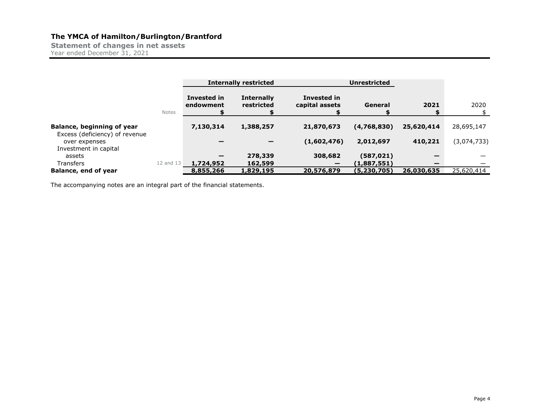**Statement of changes in net assets** Year ended December 31, 2021

|                                                                          |              | <b>Internally restricted</b> |                                 | <b>Unrestricted</b>           |             |                          |             |
|--------------------------------------------------------------------------|--------------|------------------------------|---------------------------------|-------------------------------|-------------|--------------------------|-------------|
|                                                                          | <b>Notes</b> | Invested in<br>endowment     | <b>Internally</b><br>restricted | Invested in<br>capital assets | General     | 2021                     | 2020        |
| Balance, beginning of year                                               |              | 7,130,314                    | 1,388,257                       | 21,870,673                    | (4,768,830) | 25,620,414               | 28,695,147  |
| Excess (deficiency) of revenue<br>over expenses<br>Investment in capital |              |                              | $\overline{\phantom{0}}$        | (1,602,476)                   | 2,012,697   | 410,221                  | (3,074,733) |
| assets                                                                   |              | -                            | 278,339                         | 308,682                       | (587, 021)  |                          |             |
| <b>Transfers</b>                                                         |              | 12 and 13 <b>1,724,952</b>   | 162,599                         |                               | (1,887,551) | $\overline{\phantom{0}}$ |             |
| Balance, end of year                                                     |              | 8,855,266                    | 1,829,195                       | 20,576,879                    | (5,230,705) | 26,030,635               | 25,620,414  |

The accompanying notes are an integral part of the financial statements.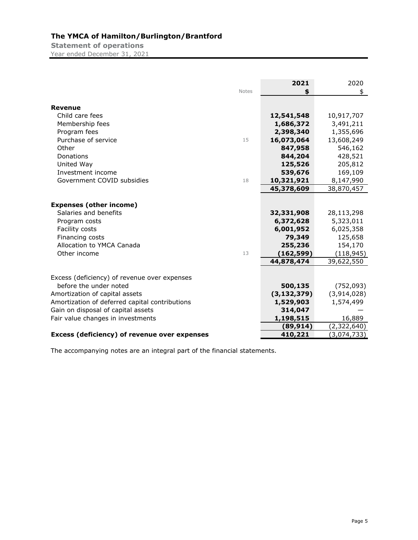**Statement of operations** Year ended December 31, 2021

|                                                                                                                                                            | <b>Notes</b> | 2021<br>\$                                                                            | 2020<br>\$                                                                             |
|------------------------------------------------------------------------------------------------------------------------------------------------------------|--------------|---------------------------------------------------------------------------------------|----------------------------------------------------------------------------------------|
| <b>Revenue</b>                                                                                                                                             |              |                                                                                       |                                                                                        |
| Child care fees                                                                                                                                            |              | 12,541,548                                                                            | 10,917,707                                                                             |
| Membership fees                                                                                                                                            |              | 1,686,372                                                                             | 3,491,211                                                                              |
| Program fees                                                                                                                                               |              | 2,398,340                                                                             | 1,355,696                                                                              |
| Purchase of service                                                                                                                                        | 15           | 16,073,064                                                                            | 13,608,249                                                                             |
| Other                                                                                                                                                      |              | 847,958                                                                               | 546,162                                                                                |
| Donations                                                                                                                                                  |              | 844,204                                                                               | 428,521                                                                                |
| United Way                                                                                                                                                 |              | 125,526                                                                               | 205,812                                                                                |
| Investment income                                                                                                                                          |              | 539,676                                                                               | 169,109                                                                                |
| Government COVID subsidies                                                                                                                                 | 18           | 10,321,921                                                                            | 8,147,990                                                                              |
|                                                                                                                                                            |              | 45,378,609                                                                            | 38,870,457                                                                             |
| <b>Expenses (other income)</b><br>Salaries and benefits<br>Program costs<br>Facility costs<br>Financing costs<br>Allocation to YMCA Canada<br>Other income | 13           | 32,331,908<br>6,372,628<br>6,001,952<br>79,349<br>255,236<br>(162, 599)<br>44,878,474 | 28,113,298<br>5,323,011<br>6,025,358<br>125,658<br>154,170<br>(118, 945)<br>39,622,550 |
| Excess (deficiency) of revenue over expenses<br>before the under noted                                                                                     |              | 500,135                                                                               | (752, 093)                                                                             |
| Amortization of capital assets                                                                                                                             |              | (3, 132, 379)                                                                         | (3,914,028)                                                                            |
| Amortization of deferred capital contributions                                                                                                             |              | 1,529,903                                                                             | 1,574,499                                                                              |
| Gain on disposal of capital assets                                                                                                                         |              | 314,047                                                                               |                                                                                        |
| Fair value changes in investments                                                                                                                          |              | 1,198,515                                                                             | 16,889                                                                                 |
|                                                                                                                                                            |              | (89, 914)                                                                             | (2,322,640)                                                                            |
| Excess (deficiency) of revenue over expenses                                                                                                               |              | 410,221                                                                               | (3,074,733)                                                                            |

The accompanying notes are an integral part of the financial statements.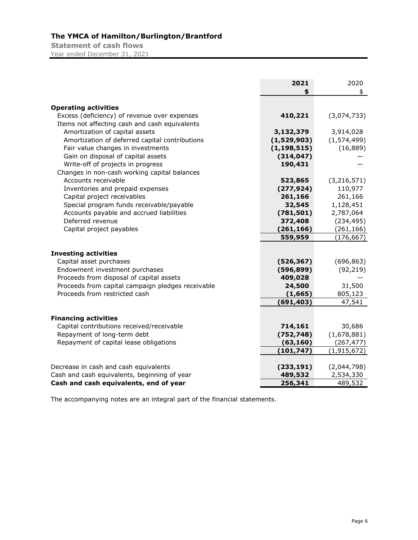**Statement of cash flows** Year ended December 31, 2021

|                                                   | 2021<br>\$    | 2020<br>\$    |
|---------------------------------------------------|---------------|---------------|
| <b>Operating activities</b>                       |               |               |
| Excess (deficiency) of revenue over expenses      | 410,221       | (3,074,733)   |
| Items not affecting cash and cash equivalents     |               |               |
| Amortization of capital assets                    | 3,132,379     | 3,914,028     |
| Amortization of deferred capital contributions    | (1,529,903)   | (1,574,499)   |
| Fair value changes in investments                 | (1, 198, 515) | (16, 889)     |
| Gain on disposal of capital assets                | (314, 047)    |               |
| Write-off of projects in progress                 | 190,431       |               |
| Changes in non-cash working capital balances      |               |               |
| Accounts receivable                               | 523,865       | (3, 216, 571) |
| Inventories and prepaid expenses                  | (277, 924)    | 110,977       |
| Capital project receivables                       | 261,166       | 261,166       |
| Special program funds receivable/payable          | 32,545        | 1,128,451     |
| Accounts payable and accrued liabilities          | (781, 501)    | 2,787,064     |
| Deferred revenue                                  | 372,408       | (234, 495)    |
| Capital project payables                          | (261, 166)    | (261, 166)    |
|                                                   | 559,959       | (176, 667)    |
| <b>Investing activities</b>                       |               |               |
| Capital asset purchases                           | (526, 367)    | (696, 863)    |
| Endowment investment purchases                    | (596, 899)    | (92, 219)     |
| Proceeds from disposal of capital assets          | 409,028       |               |
| Proceeds from capital campaign pledges receivable | 24,500        | 31,500        |
| Proceeds from restricted cash                     | (1, 665)      | 805,123       |
|                                                   | (691, 403)    | 47,541        |
|                                                   |               |               |
| <b>Financing activities</b>                       |               |               |
| Capital contributions received/receivable         | 714,161       | 30,686        |
| Repayment of long-term debt                       | (752, 748)    | (1,678,881)   |
| Repayment of capital lease obligations            | (63, 160)     | (267, 477)    |
|                                                   | (101, 747)    | (1, 915, 672) |
| Decrease in cash and cash equivalents             | (233, 191)    | (2,044,798)   |
| Cash and cash equivalents, beginning of year      | 489,532       | 2,534,330     |
| Cash and cash equivalents, end of year            | 256,341       | 489,532       |

The accompanying notes are an integral part of the financial statements.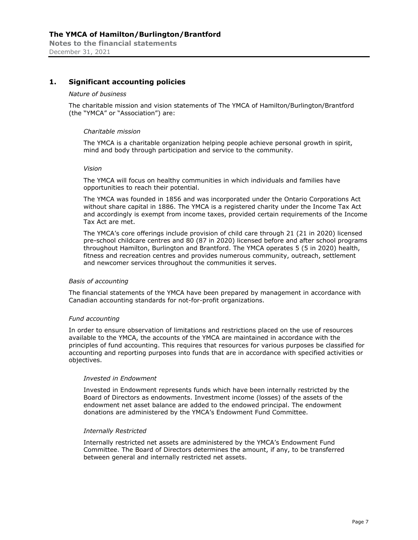# **1. Significant accounting policies**

#### *Nature of business*

The charitable mission and vision statements of The YMCA of Hamilton/Burlington/Brantford (the "YMCA" or "Association") are:

#### *Charitable mission*

The YMCA is a charitable organization helping people achieve personal growth in spirit, mind and body through participation and service to the community.

#### *Vision*

The YMCA will focus on healthy communities in which individuals and families have opportunities to reach their potential.

The YMCA was founded in 1856 and was incorporated under the Ontario Corporations Act without share capital in 1886. The YMCA is a registered charity under the Income Tax Act and accordingly is exempt from income taxes, provided certain requirements of the Income Tax Act are met.

The YMCA's core offerings include provision of child care through 21 (21 in 2020) licensed pre-school childcare centres and 80 (87 in 2020) licensed before and after school programs throughout Hamilton, Burlington and Brantford. The YMCA operates 5 (5 in 2020) health, fitness and recreation centres and provides numerous community, outreach, settlement and newcomer services throughout the communities it serves.

#### *Basis of accounting*

The financial statements of the YMCA have been prepared by management in accordance with Canadian accounting standards for not-for-profit organizations.

#### *Fund accounting*

In order to ensure observation of limitations and restrictions placed on the use of resources available to the YMCA, the accounts of the YMCA are maintained in accordance with the principles of fund accounting. This requires that resources for various purposes be classified for accounting and reporting purposes into funds that are in accordance with specified activities or objectives.

#### *Invested in Endowment*

Invested in Endowment represents funds which have been internally restricted by the Board of Directors as endowments. Investment income (losses) of the assets of the endowment net asset balance are added to the endowed principal. The endowment donations are administered by the YMCA's Endowment Fund Committee.

### *Internally Restricted*

Internally restricted net assets are administered by the YMCA's Endowment Fund Committee. The Board of Directors determines the amount, if any, to be transferred between general and internally restricted net assets.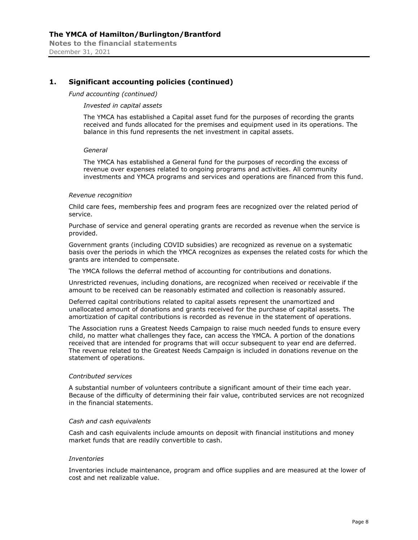# **1. Significant accounting policies (continued)**

#### *Fund accounting (continued)*

#### *Invested in capital assets*

The YMCA has established a Capital asset fund for the purposes of recording the grants received and funds allocated for the premises and equipment used in its operations. The balance in this fund represents the net investment in capital assets.

#### *General*

The YMCA has established a General fund for the purposes of recording the excess of revenue over expenses related to ongoing programs and activities. All community investments and YMCA programs and services and operations are financed from this fund.

#### *Revenue recognition*

Child care fees, membership fees and program fees are recognized over the related period of service.

Purchase of service and general operating grants are recorded as revenue when the service is provided.

Government grants (including COVID subsidies) are recognized as revenue on a systematic basis over the periods in which the YMCA recognizes as expenses the related costs for which the grants are intended to compensate.

The YMCA follows the deferral method of accounting for contributions and donations.

Unrestricted revenues, including donations, are recognized when received or receivable if the amount to be received can be reasonably estimated and collection is reasonably assured.

Deferred capital contributions related to capital assets represent the unamortized and unallocated amount of donations and grants received for the purchase of capital assets. The amortization of capital contributions is recorded as revenue in the statement of operations.

The Association runs a Greatest Needs Campaign to raise much needed funds to ensure every child, no matter what challenges they face, can access the YMCA. A portion of the donations received that are intended for programs that will occur subsequent to year end are deferred. The revenue related to the Greatest Needs Campaign is included in donations revenue on the statement of operations.

## *Contributed services*

A substantial number of volunteers contribute a significant amount of their time each year. Because of the difficulty of determining their fair value, contributed services are not recognized in the financial statements.

#### *Cash and cash equivalents*

Cash and cash equivalents include amounts on deposit with financial institutions and money market funds that are readily convertible to cash.

#### *Inventories*

Inventories include maintenance, program and office supplies and are measured at the lower of cost and net realizable value.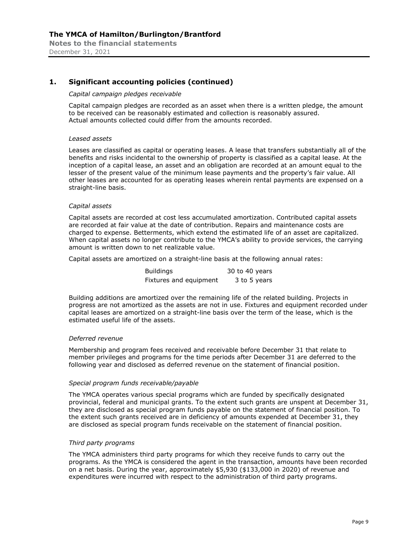# **1. Significant accounting policies (continued)**

### *Capital campaign pledges receivable*

Capital campaign pledges are recorded as an asset when there is a written pledge, the amount to be received can be reasonably estimated and collection is reasonably assured. Actual amounts collected could differ from the amounts recorded.

#### *Leased assets*

Leases are classified as capital or operating leases. A lease that transfers substantially all of the benefits and risks incidental to the ownership of property is classified as a capital lease. At the inception of a capital lease, an asset and an obligation are recorded at an amount equal to the lesser of the present value of the minimum lease payments and the property's fair value. All other leases are accounted for as operating leases wherein rental payments are expensed on a straight-line basis.

### *Capital assets*

Capital assets are recorded at cost less accumulated amortization. Contributed capital assets are recorded at fair value at the date of contribution. Repairs and maintenance costs are charged to expense. Betterments, which extend the estimated life of an asset are capitalized. When capital assets no longer contribute to the YMCA's ability to provide services, the carrying amount is written down to net realizable value.

Capital assets are amortized on a straight-line basis at the following annual rates:

| <b>Buildings</b>       | 30 to 40 years |
|------------------------|----------------|
| Fixtures and equipment | 3 to 5 years   |

Building additions are amortized over the remaining life of the related building. Projects in progress are not amortized as the assets are not in use. Fixtures and equipment recorded under capital leases are amortized on a straight-line basis over the term of the lease, which is the estimated useful life of the assets.

#### *Deferred revenue*

Membership and program fees received and receivable before December 31 that relate to member privileges and programs for the time periods after December 31 are deferred to the following year and disclosed as deferred revenue on the statement of financial position.

#### *Special program funds receivable/payable*

The YMCA operates various special programs which are funded by specifically designated provincial, federal and municipal grants. To the extent such grants are unspent at December 31, they are disclosed as special program funds payable on the statement of financial position. To the extent such grants received are in deficiency of amounts expended at December 31, they are disclosed as special program funds receivable on the statement of financial position.

# *Third party programs*

The YMCA administers third party programs for which they receive funds to carry out the programs. As the YMCA is considered the agent in the transaction, amounts have been recorded on a net basis. During the year, approximately \$5,930 (\$133,000 in 2020) of revenue and expenditures were incurred with respect to the administration of third party programs.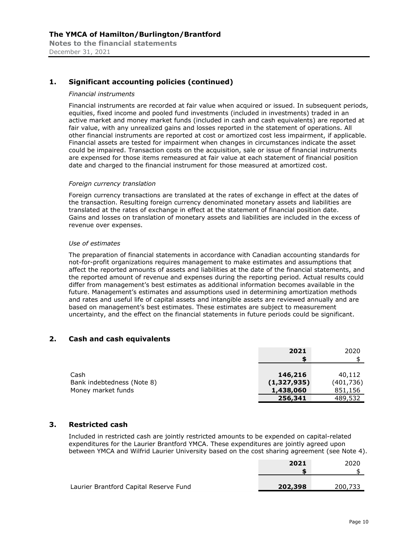# **1. Significant accounting policies (continued)**

#### *Financial instruments*

Financial instruments are recorded at fair value when acquired or issued. In subsequent periods, equities, fixed income and pooled fund investments (included in investments) traded in an active market and money market funds (included in cash and cash equivalents) are reported at fair value, with any unrealized gains and losses reported in the statement of operations. All other financial instruments are reported at cost or amortized cost less impairment, if applicable. Financial assets are tested for impairment when changes in circumstances indicate the asset could be impaired. Transaction costs on the acquisition, sale or issue of financial instruments are expensed for those items remeasured at fair value at each statement of financial position date and charged to the financial instrument for those measured at amortized cost.

#### *Foreign currency translation*

Foreign currency transactions are translated at the rates of exchange in effect at the dates of the transaction. Resulting foreign currency denominated monetary assets and liabilities are translated at the rates of exchange in effect at the statement of financial position date. Gains and losses on translation of monetary assets and liabilities are included in the excess of revenue over expenses.

#### *Use of estimates*

The preparation of financial statements in accordance with Canadian accounting standards for not-for-profit organizations requires management to make estimates and assumptions that affect the reported amounts of assets and liabilities at the date of the financial statements, and the reported amount of revenue and expenses during the reporting period. Actual results could differ from management's best estimates as additional information becomes available in the future. Management's estimates and assumptions used in determining amortization methods and rates and useful life of capital assets and intangible assets are reviewed annually and are based on management's best estimates. These estimates are subject to measurement uncertainty, and the effect on the financial statements in future periods could be significant.

# **2. Cash and cash equivalents**

|                            | 2021        | 2020      |
|----------------------------|-------------|-----------|
|                            |             |           |
|                            |             |           |
| Cash                       | 146,216     | 40,112    |
| Bank indebtedness (Note 8) | (1,327,935) | (401,736) |
| Money market funds         | 1,438,060   | 851,156   |
|                            | 256,341     | 489,532   |

# **3. Restricted cash**

Included in restricted cash are jointly restricted amounts to be expended on capital-related expenditures for the Laurier Brantford YMCA. These expenditures are jointly agreed upon between YMCA and Wilfrid Laurier University based on the cost sharing agreement (see Note 4).

|                                        | 2021    | 2020    |
|----------------------------------------|---------|---------|
| Laurier Brantford Capital Reserve Fund | 202,398 | 200,733 |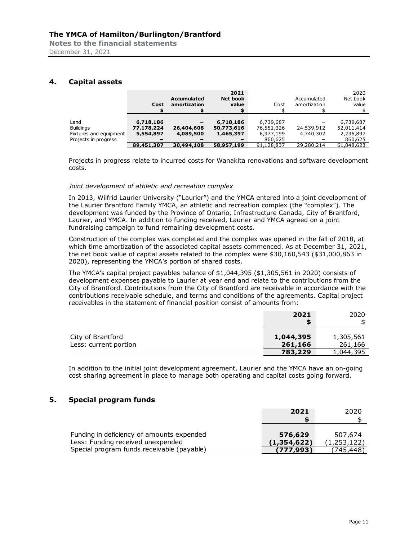**Notes to the financial statements**  December 31, 2021

# **4. Capital assets**

|                        | Cost       | <b>Accumulated</b><br>amortization | 2021<br><b>Net book</b><br>value | Cost       | Accumulated<br>amortization | 2020<br>Net book<br>value |
|------------------------|------------|------------------------------------|----------------------------------|------------|-----------------------------|---------------------------|
| Land                   | 6,718,186  |                                    | 6,718,186                        | 6,739,687  |                             |                           |
|                        |            |                                    |                                  |            |                             | 6,739,687                 |
| <b>Buildings</b>       | 77,178,224 | 26,404,608                         | 50,773,616                       | 76,551,326 | 24,539,912                  | 52,011,414                |
| Fixtures and equipment | 5,554,897  | 4,089,500                          | 1,465,397                        | 6,977,199  | 4,740,302                   | 2,236,897                 |
| Projects in progress   |            |                                    |                                  | 860,625    |                             | 860,625                   |
|                        | 89,451,307 | 30,494,108                         | 58,957,199                       | 91,128,837 | 29,280,214                  | 61,848,623                |

Projects in progress relate to incurred costs for Wanakita renovations and software development costs.

# *Joint development of athletic and recreation complex*

In 2013, Wilfrid Laurier University ("Laurier") and the YMCA entered into a joint development of the Laurier Brantford Family YMCA, an athletic and recreation complex (the "complex"). The development was funded by the Province of Ontario, Infrastructure Canada, City of Brantford, Laurier, and YMCA. In addition to funding received, Laurier and YMCA agreed on a joint fundraising campaign to fund remaining development costs.

Construction of the complex was completed and the complex was opened in the fall of 2018, at which time amortization of the associated capital assets commenced. As at December 31, 2021, the net book value of capital assets related to the complex were \$30,160,543 (\$31,000,863 in 2020), representing the YMCA's portion of shared costs.

The YMCA's capital project payables balance of \$1,044,395 (\$1,305,561 in 2020) consists of development expenses payable to Laurier at year end and relate to the contributions from the City of Brantford. Contributions from the City of Brantford are receivable in accordance with the contributions receivable schedule, and terms and conditions of the agreements. Capital project receivables in the statement of financial position consist of amounts from:

|                       | 2021      | 2020      |
|-----------------------|-----------|-----------|
|                       |           |           |
|                       |           |           |
| City of Brantford     | 1,044,395 | 1,305,561 |
| Less: current portion | 261,166   | 261,166   |
|                       | 783,229   | 1,044,395 |

In addition to the initial joint development agreement, Laurier and the YMCA have an on-going cost sharing agreement in place to manage both operating and capital costs going forward.

# **5. Special program funds**

|                                            | 2021        | 2020        |
|--------------------------------------------|-------------|-------------|
|                                            |             |             |
|                                            |             |             |
| Funding in deficiency of amounts expended  | 576,629     | 507,674     |
| Less: Funding received unexpended          | (1,354,622) | (1,253,122) |
| Special program funds receivable (payable) | (777, 993)  | (745.448)   |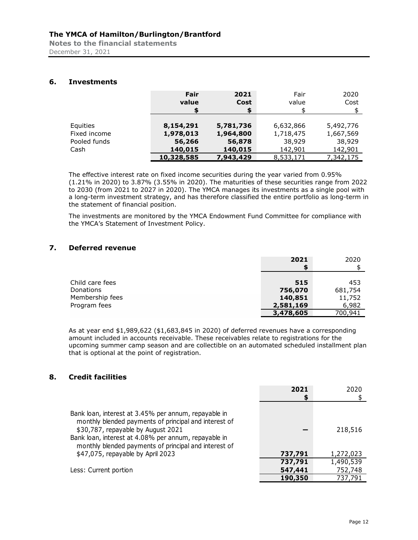**Notes to the financial statements**  December 31, 2021

# **6. Investments**

|              | Fair<br>value | 2021<br>Cost<br>\$ | Fair<br>value | 2020<br>Cost |
|--------------|---------------|--------------------|---------------|--------------|
| Equities     | 8,154,291     | 5,781,736          | 6,632,866     | 5,492,776    |
| Fixed income | 1,978,013     | 1,964,800          | 1,718,475     | 1,667,569    |
| Pooled funds | 56,266        | 56,878             | 38,929        | 38,929       |
| Cash         | 140,015       | 140,015            | 142,901       | 142,901      |
|              | 10,328,585    | 7,943,429          | 8,533,171     | 7,342,175    |

The effective interest rate on fixed income securities during the year varied from 0.95% (1.21% in 2020) to 3.87% (3.55% in 2020). The maturities of these securities range from 2022 to 2030 (from 2021 to 2027 in 2020). The YMCA manages its investments as a single pool with a long-term investment strategy, and has therefore classified the entire portfolio as long-term in the statement of financial position.

The investments are monitored by the YMCA Endowment Fund Committee for compliance with the YMCA's Statement of Investment Policy.

# **7. Deferred revenue**

|                 | 2021      | 2020    |
|-----------------|-----------|---------|
|                 |           |         |
| Child care fees | 515       | 453     |
| Donations       | 756,070   | 681,754 |
| Membership fees | 140,851   | 11,752  |
| Program fees    | 2,581,169 | 6,982   |
|                 | 3,478,605 | 700,941 |

As at year end \$1,989,622 (\$1,683,845 in 2020) of deferred revenues have a corresponding amount included in accounts receivable. These receivables relate to registrations for the upcoming summer camp season and are collectible on an automated scheduled installment plan that is optional at the point of registration.

# **8. Credit facilities**

|                                                                                                                                                                                                                                                                      | 2021    | 2020      |
|----------------------------------------------------------------------------------------------------------------------------------------------------------------------------------------------------------------------------------------------------------------------|---------|-----------|
|                                                                                                                                                                                                                                                                      |         |           |
| Bank loan, interest at 3.45% per annum, repayable in<br>monthly blended payments of principal and interest of<br>\$30,787, repayable by August 2021<br>Bank loan, interest at 4.08% per annum, repayable in<br>monthly blended payments of principal and interest of |         | 218,516   |
| \$47,075, repayable by April 2023                                                                                                                                                                                                                                    | 737,791 | 1,272,023 |
|                                                                                                                                                                                                                                                                      | 737,791 | 1,490,539 |
| Less: Current portion                                                                                                                                                                                                                                                | 547,441 | 752,748   |
|                                                                                                                                                                                                                                                                      | 190,350 | 737,791   |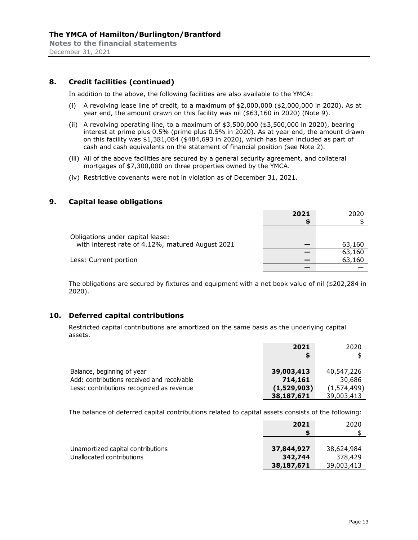# **8. Credit facilities (continued)**

In addition to the above, the following facilities are also available to the YMCA:

- (i) A revolving lease line of credit, to a maximum of  $$2,000,000$   $$2,000,000$  in 2020). As at year end, the amount drawn on this facility was nil (\$63,160 in 2020) (Note 9).
- (ii) A revolving operating line, to a maximum of \$3,500,000 (\$3,500,000 in 2020), bearing interest at prime plus 0.5% (prime plus 0.5% in 2020). As at year end, the amount drawn on this facility was \$1,381,084 (\$484,693 in 2020), which has been included as part of cash and cash equivalents on the statement of financial position (see Note 2).
- (iii) All of the above facilities are secured by a general security agreement, and collateral mortgages of \$7,300,000 on three properties owned by the YMCA.
- (iv) Restrictive covenants were not in violation as of December 31, 2021.

# **9. Capital lease obligations**

|                                                  | 2021 | 2020   |
|--------------------------------------------------|------|--------|
|                                                  |      |        |
|                                                  |      |        |
| Obligations under capital lease:                 |      |        |
| with interest rate of 4.12%, matured August 2021 |      | 63,160 |
|                                                  |      | 63,160 |
| Less: Current portion                            |      | 63,160 |
|                                                  |      |        |

The obligations are secured by fixtures and equipment with a net book value of nil (\$202,284 in 2020).

# **10. Deferred capital contributions**

Restricted capital contributions are amortized on the same basis as the underlying capital assets.

|                                            | 2021        | 2020        |
|--------------------------------------------|-------------|-------------|
|                                            |             |             |
|                                            |             |             |
| Balance, beginning of year                 | 39,003,413  | 40,547,226  |
| Add: contributions received and receivable | 714,161     | 30,686      |
| Less: contributions recognized as revenue  | (1,529,903) | (1,574,499) |
|                                            | 38,187,671  | 39,003,413  |

The balance of deferred capital contributions related to capital assets consists of the following:

|                                   | 2021       | 2020       |
|-----------------------------------|------------|------------|
|                                   |            |            |
|                                   |            |            |
| Unamortized capital contributions | 37,844,927 | 38,624,984 |
| Unallocated contributions         | 342,744    | 378,429    |
|                                   | 38,187,671 | 39,003,413 |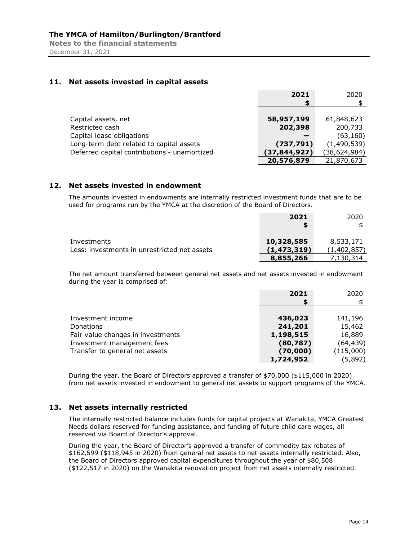# **11. Net assets invested in capital assets**

|                                              | 2021           | 2020           |
|----------------------------------------------|----------------|----------------|
|                                              | S              |                |
|                                              |                |                |
| Capital assets, net                          | 58,957,199     | 61,848,623     |
| Restricted cash                              | 202,398        | 200,733        |
| Capital lease obligations                    |                | (63, 160)      |
| Long-term debt related to capital assets     | (737, 791)     | (1,490,539)    |
| Deferred capital contributions - unamortized | (37, 844, 927) | (38, 624, 984) |
|                                              | 20,576,879     | 21,870,673     |

# **12. Net assets invested in endowment**

The amounts invested in endowments are internally restricted investment funds that are to be used for programs run by the YMCA at the discretion of the Board of Directors.

|                                                             | 2021                      | 2020                     |
|-------------------------------------------------------------|---------------------------|--------------------------|
| Investments<br>Less: investments in unrestricted net assets | 10,328,585<br>(1,473,319) | 8,533,171<br>(1,402,857) |
|                                                             | 8,855,266                 | 7,130,314                |

The net amount transferred between general net assets and net assets invested in endowment during the year is comprised of:

|                                   | 2021      | 2020      |
|-----------------------------------|-----------|-----------|
|                                   |           |           |
| Investment income                 | 436,023   | 141,196   |
| Donations                         | 241,201   | 15,462    |
| Fair value changes in investments | 1,198,515 | 16,889    |
| Investment management fees        | (80, 787) | (64, 439) |
| Transfer to general net assets    | (70,000)  | (115,000) |
|                                   | 1,724,952 | (5,892)   |

During the year, the Board of Directors approved a transfer of \$70,000 (\$115,000 in 2020) from net assets invested in endowment to general net assets to support programs of the YMCA.

# **13. Net assets internally restricted**

The internally restricted balance includes funds for capital projects at Wanakita, YMCA Greatest Needs dollars reserved for funding assistance, and funding of future child care wages, all reserved via Board of Director's approval.

During the year, the Board of Director's approved a transfer of commodity tax rebates of \$162,599 (\$118,945 in 2020) from general net assets to net assets internally restricted. Also, the Board of Directors approved capital expenditures throughout the year of \$80,508 (\$122,517 in 2020) on the Wanakita renovation project from net assets internally restricted.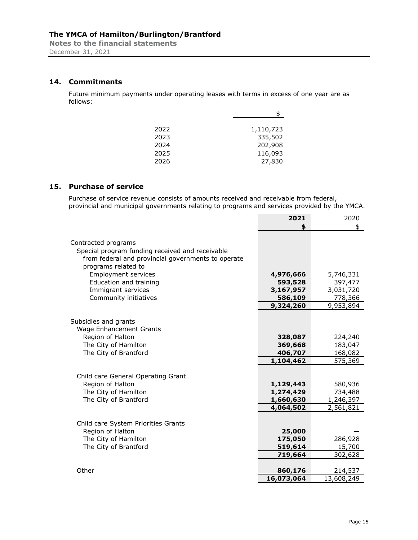# **14. Commitments**

Future minimum payments under operating leases with terms in excess of one year are as follows:

| 2022 | 1,110,723 |
|------|-----------|
| 2023 | 335,502   |
| 2024 | 202,908   |
| 2025 | 116,093   |
| 2026 | 27,830    |

# **15. Purchase of service**

Purchase of service revenue consists of amounts received and receivable from federal, provincial and municipal governments relating to programs and services provided by the YMCA.

|                                                                                                                                                     | 2021       | 2020       |
|-----------------------------------------------------------------------------------------------------------------------------------------------------|------------|------------|
|                                                                                                                                                     | \$         | \$         |
| Contracted programs<br>Special program funding received and receivable<br>from federal and provincial governments to operate<br>programs related to |            |            |
| <b>Employment services</b>                                                                                                                          | 4,976,666  | 5,746,331  |
| Education and training                                                                                                                              | 593,528    | 397,477    |
| Immigrant services                                                                                                                                  | 3,167,957  | 3,031,720  |
| Community initiatives                                                                                                                               | 586,109    | 778,366    |
|                                                                                                                                                     | 9,324,260  | 9,953,894  |
| Subsidies and grants<br><b>Wage Enhancement Grants</b>                                                                                              |            |            |
| Region of Halton                                                                                                                                    | 328,087    | 224,240    |
| The City of Hamilton                                                                                                                                | 369,668    | 183,047    |
| The City of Brantford                                                                                                                               | 406,707    | 168,082    |
|                                                                                                                                                     | 1,104,462  | 575,369    |
| Child care General Operating Grant                                                                                                                  |            |            |
| Region of Halton                                                                                                                                    | 1,129,443  | 580,936    |
| The City of Hamilton                                                                                                                                | 1,274,429  | 734,488    |
| The City of Brantford                                                                                                                               | 1,660,630  | 1,246,397  |
|                                                                                                                                                     | 4,064,502  | 2,561,821  |
| Child care System Priorities Grants                                                                                                                 |            |            |
| Region of Halton                                                                                                                                    | 25,000     |            |
| The City of Hamilton                                                                                                                                | 175,050    | 286,928    |
| The City of Brantford                                                                                                                               | 519,614    | 15,700     |
|                                                                                                                                                     | 719,664    | 302,628    |
| Other                                                                                                                                               | 860,176    | 214,537    |
|                                                                                                                                                     | 16,073,064 | 13,608,249 |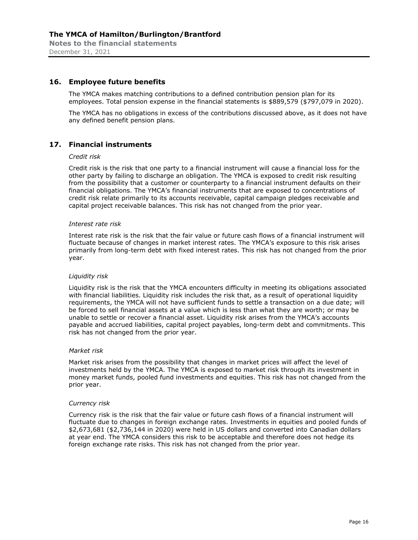# **16. Employee future benefits**

The YMCA makes matching contributions to a defined contribution pension plan for its employees. Total pension expense in the financial statements is \$889,579 (\$797,079 in 2020).

The YMCA has no obligations in excess of the contributions discussed above, as it does not have any defined benefit pension plans.

# **17. Financial instruments**

### *Credit risk*

Credit risk is the risk that one party to a financial instrument will cause a financial loss for the other party by failing to discharge an obligation. The YMCA is exposed to credit risk resulting from the possibility that a customer or counterparty to a financial instrument defaults on their financial obligations. The YMCA's financial instruments that are exposed to concentrations of credit risk relate primarily to its accounts receivable, capital campaign pledges receivable and capital project receivable balances. This risk has not changed from the prior year.

#### *Interest rate risk*

Interest rate risk is the risk that the fair value or future cash flows of a financial instrument will fluctuate because of changes in market interest rates. The YMCA's exposure to this risk arises primarily from long-term debt with fixed interest rates. This risk has not changed from the prior year.

#### *Liquidity risk*

Liquidity risk is the risk that the YMCA encounters difficulty in meeting its obligations associated with financial liabilities. Liquidity risk includes the risk that, as a result of operational liquidity requirements, the YMCA will not have sufficient funds to settle a transaction on a due date; will be forced to sell financial assets at a value which is less than what they are worth; or may be unable to settle or recover a financial asset. Liquidity risk arises from the YMCA's accounts payable and accrued liabilities, capital project payables, long-term debt and commitments. This risk has not changed from the prior year.

#### *Market risk*

Market risk arises from the possibility that changes in market prices will affect the level of investments held by the YMCA. The YMCA is exposed to market risk through its investment in money market funds, pooled fund investments and equities. This risk has not changed from the prior year.

#### *Currency risk*

Currency risk is the risk that the fair value or future cash flows of a financial instrument will fluctuate due to changes in foreign exchange rates. Investments in equities and pooled funds of \$2,673,681 (\$2,736,144 in 2020) were held in US dollars and converted into Canadian dollars at year end. The YMCA considers this risk to be acceptable and therefore does not hedge its foreign exchange rate risks. This risk has not changed from the prior year.